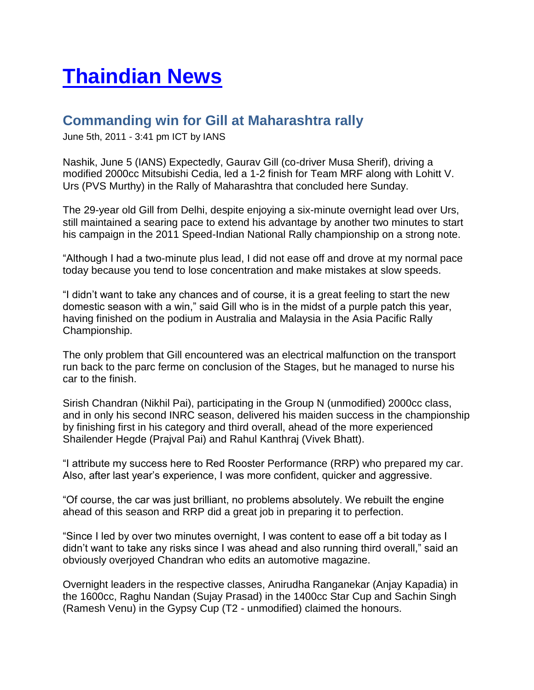## **[Thaindian News](http://www.thaindian.com/newsportal/)**

## **Commanding win for Gill at Maharashtra rally**

June 5th, 2011 - 3:41 pm ICT by IANS

Nashik, June 5 (IANS) Expectedly, Gaurav Gill (co-driver Musa Sherif), driving a modified 2000cc Mitsubishi Cedia, led a 1-2 finish for Team MRF along with Lohitt V. Urs (PVS Murthy) in the Rally of Maharashtra that concluded here Sunday.

The 29-year old Gill from Delhi, despite enjoying a six-minute overnight lead over Urs, still maintained a searing pace to extend his advantage by another two minutes to start his campaign in the 2011 Speed-Indian National Rally championship on a strong note.

"Although I had a two-minute plus lead, I did not ease off and drove at my normal pace today because you tend to lose concentration and make mistakes at slow speeds.

"I didn't want to take any chances and of course, it is a great feeling to start the new domestic season with a win," said Gill who is in the midst of a purple patch this year, having finished on the podium in Australia and Malaysia in the Asia Pacific Rally Championship.

The only problem that Gill encountered was an electrical malfunction on the transport run back to the parc ferme on conclusion of the Stages, but he managed to nurse his car to the finish.

Sirish Chandran (Nikhil Pai), participating in the Group N (unmodified) 2000cc class, and in only his second INRC season, delivered his maiden success in the championship by finishing first in his category and third overall, ahead of the more experienced Shailender Hegde (Prajval Pai) and Rahul Kanthraj (Vivek Bhatt).

"I attribute my success here to Red Rooster Performance (RRP) who prepared my car. Also, after last year's experience, I was more confident, quicker and aggressive.

"Of course, the car was just brilliant, no problems absolutely. We rebuilt the engine ahead of this season and RRP did a great job in preparing it to perfection.

"Since I led by over two minutes overnight, I was content to ease off a bit today as I didn't want to take any risks since I was ahead and also running third overall," said an obviously overjoyed Chandran who edits an automotive magazine.

Overnight leaders in the respective classes, Anirudha Ranganekar (Anjay Kapadia) in the 1600cc, Raghu Nandan (Sujay Prasad) in the 1400cc Star Cup and Sachin Singh (Ramesh Venu) in the Gypsy Cup (T2 - unmodified) claimed the honours.